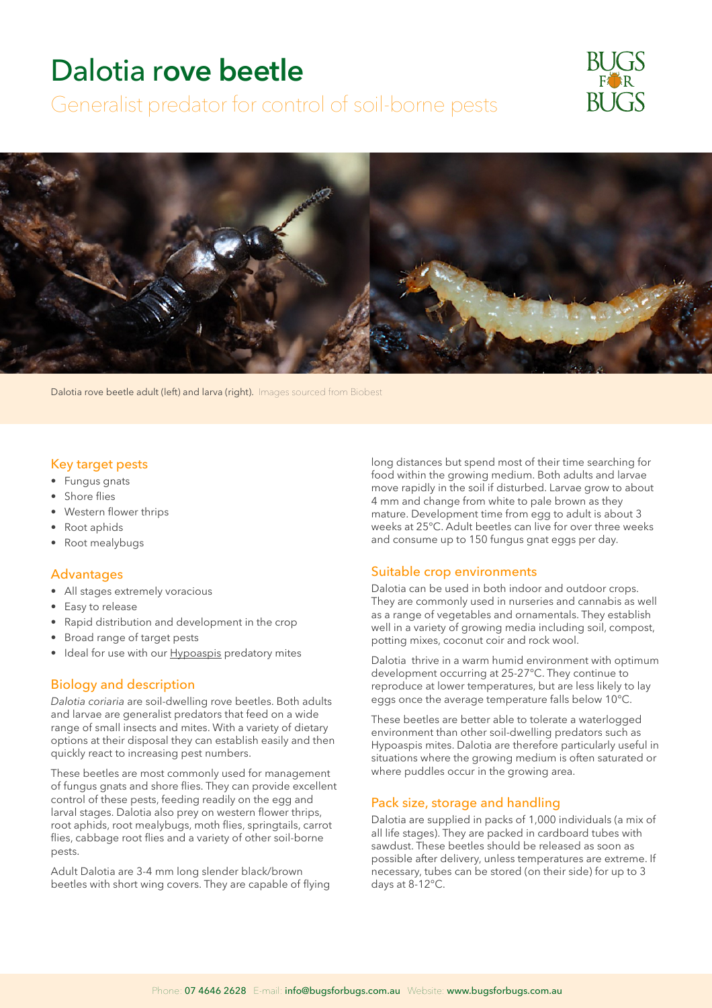# Dalotia r**ove beetle**

Generalist predator for control of soil-borne pests





Dalotia rove beetle adult (left) and larva (right). Images sourced from Biobest

### Key target pests

- Fungus gnats
- Shore flies
- Western flower thrips
- Root aphids
- Root mealybugs

### Advantages

- All stages extremely voracious
- Easy to release
- Rapid distribution and development in the crop
- Broad range of target pests
- Ideal for use with our **Hypoaspis** predatory mites

#### Biology and description

*Dalotia coriaria* are soil-dwelling rove beetles. Both adults and larvae are generalist predators that feed on a wide range of small insects and mites. With a variety of dietary options at their disposal they can establish easily and then quickly react to increasing pest numbers.

These beetles are most commonly used for management of fungus gnats and shore flies. They can provide excellent control of these pests, feeding readily on the egg and larval stages. Dalotia also prey on western flower thrips, root aphids, root mealybugs, moth flies, springtails, carrot flies, cabbage root flies and a variety of other soil-borne pests.

Adult Dalotia are 3-4 mm long slender black/brown beetles with short wing covers. They are capable of flying long distances but spend most of their time searching for food within the growing medium. Both adults and larvae move rapidly in the soil if disturbed. Larvae grow to about 4 mm and change from white to pale brown as they mature. Development time from egg to adult is about 3 weeks at 25°C. Adult beetles can live for over three weeks and consume up to 150 fungus gnat eggs per day.

#### Suitable crop environments

Dalotia can be used in both indoor and outdoor crops. They are commonly used in nurseries and cannabis as well as a range of vegetables and ornamentals. They establish well in a variety of growing media including soil, compost, potting mixes, coconut coir and rock wool.

Dalotia thrive in a warm humid environment with optimum development occurring at 25-27°C. They continue to reproduce at lower temperatures, but are less likely to lay eggs once the average temperature falls below 10°C.

These beetles are better able to tolerate a waterlogged environment than other soil-dwelling predators such as Hypoaspis mites. Dalotia are therefore particularly useful in situations where the growing medium is often saturated or where puddles occur in the growing area.

#### Pack size, storage and handling

Dalotia are supplied in packs of 1,000 individuals (a mix of all life stages). They are packed in cardboard tubes with sawdust. These beetles should be released as soon as possible after delivery, unless temperatures are extreme. If necessary, tubes can be stored (on their side) for up to 3 days at 8-12°C.